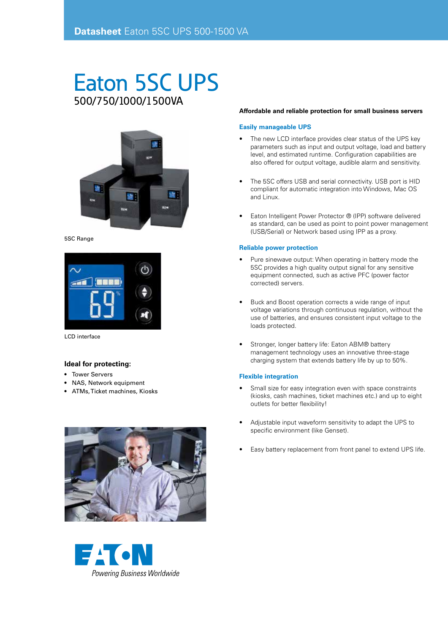# Eaton 5SC UPS 500/750/1000/1500VA



5SC Range



LCD interface

### **Ideal for protecting:**

- Tower Servers
- NAS, Network equipment
- ATMs, Ticket machines, Kiosks





#### **Affordable and reliable protection for small business servers**

#### **Easily manageable UPS**

- The new LCD interface provides clear status of the UPS key parameters such as input and output voltage, load and battery level, and estimated runtime. Configuration capabilities are also offered for output voltage, audible alarm and sensitivity.
- The 5SC offers USB and serial connectivity. USB port is HID compliant for automatic integration into Windows, Mac OS and Linux.
- Eaton Intelligent Power Protector ® (IPP) software delivered as standard, can be used as point to point power management (USB/Serial) or Network based using IPP as a proxy.

#### **Reliable power protection**

- Pure sinewave output: When operating in battery mode the 5SC provides a high quality output signal for any sensitive equipment connected, such as active PFC (power factor corrected) servers.
- Buck and Boost operation corrects a wide range of input voltage variations through continuous regulation, without the use of batteries, and ensures consistent input voltage to the loads protected.
- Stronger, longer battery life: Eaton ABM® battery management technology uses an innovative three-stage charging system that extends battery life by up to 50%.

#### **Flexible integration**

- Small size for easy integration even with space constraints (kiosks, cash machines, ticket machines etc.) and up to eight outlets for better flexibility!
- Adjustable input waveform sensitivity to adapt the UPS to specific environment (like Genset).
- Easy battery replacement from front panel to extend UPS life.